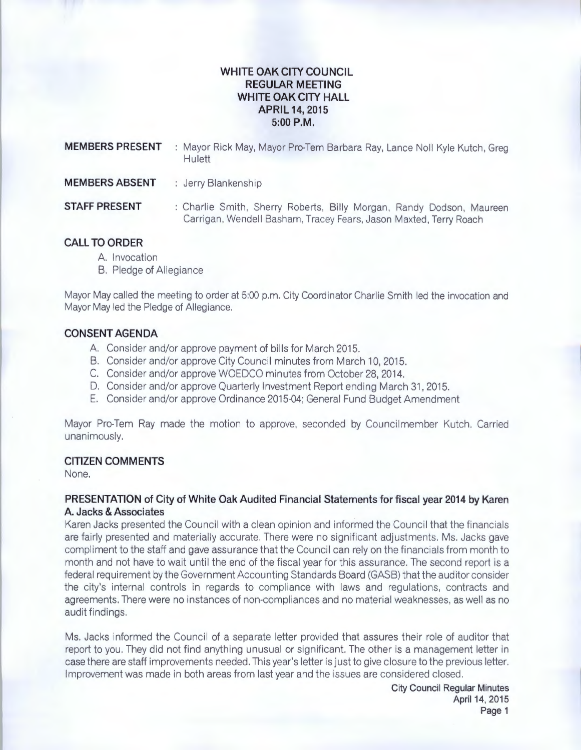# **WHITE OAK CITY COUNCIL REGULAR MEETING WHITE OAK CITY HALL APRIL 14,2015 5:00P.M.**

| <b>MEMBERS PRESENT</b> | : Mayor Rick May, Mayor Pro-Tem Barbara Ray, Lance Noll Kyle Kutch, Greg<br>Hulett                                                        |
|------------------------|-------------------------------------------------------------------------------------------------------------------------------------------|
| <b>MEMBERS ABSENT</b>  | : Jerry Blankenship                                                                                                                       |
| <b>STAFF PRESENT</b>   | : Charlie Smith, Sherry Roberts, Billy Morgan, Randy Dodson, Maureen<br>Carrigan, Wendell Basham, Tracey Fears, Jason Maxted, Terry Roach |

## **CALL TO ORDER**

- A. Invocation
- B. Pledge of Allegiance

Mayor May called the meeting to order at 5:00 p.m. City Coordinator Charlie Smith led the invocation and Mayor May led the Pledge of Allegiance.

## **CONSENT AGENDA**

- A. Consider and/or approve payment of bills for March 2015.
- B. Consider and/or approve City Council minutes from March 10, 2015.
- C. Consider and/or approve WOEDCO minutes from October 28, 2014.
- D. Consider and/or approve Quarterly Investment Report ending March 31, 2015.
- E. Consider and/or approve Ordinance 2015-04; General Fund Budget Amendment

Mayor Pro-Tem Ray made the motion to approve, seconded by Councilmember Kutch. Carried unanimously.

# **CITIZEN COMMENTS**

None.

# **PRESENTATION of City of White Oak Audited Financial Statements for fiscal year 2014 by Karen A. Jacks & Associates**

Karen Jacks presented the Council with a clean opinion and informed the Council that the financials are fairly presented and materially accurate. There were no significant adjustments. Ms. Jacks gave compliment to the staff and gave assurance that the Council can rely on the financials from month to month and not have to wait until the end of the fiscal year for this assurance. The second report is a federal requirement by the Government Accounting Standards Board (GASB) that the auditor consider the city's internal controls in regards to compliance with laws and regulations, contracts and agreements. There were no instances of non-compliances and no material weaknesses, as well as no audit findings.

Ms. Jacks informed the Council of a separate letter provided that assures their role of auditor that report to you. They did not find anything unusual or significant. The other is a management letter in case there are staff improvements needed. This year's letter is just to give closure to the previous letter. Improvement was made in both areas from last year and the issues are considered closed .

> **City Council Regular Minutes**  April 14, 2015 **Page 1**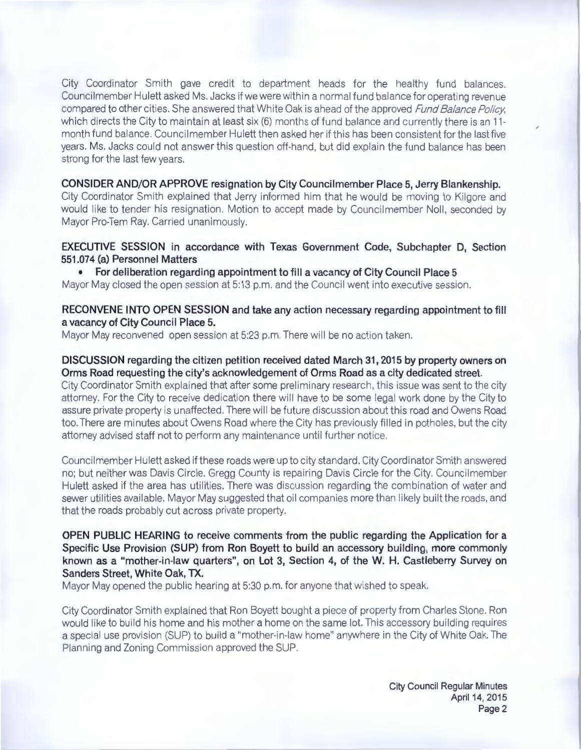City Coordinator Smith gave credit to department heads for the healthy fund balances. Council member Hulett asked Ms. Jacks if we were within a normal fund balance for operating revenue compared to other cities. She answered that White Oak is ahead of the approved *Fund Balance Policy*, which directs the City to maintain at least six (6) months of fund balance and currently there is an 11month fund balance. Council member Hulett then asked her if this has been consistent for the last five years. Ms. Jacks could not answer this question off-hand, but did explain the fund balance has been strong for the last few years.

**CONSIDER AND/OR APPROVE resignation by City Council member Place 5, Jerry Blankenship.** City Coordinator Smith explained that Jerry informed him that he would be moving to Kilgore and would like to tender his resignation. Motion to accept made by Councilmember Noll, seconded by Mayor Pro-Tem Ray. Carried unanimously.

**EXECUTIVE SESSION in accordance with Texas Government Code, Subchapter D, Section 551.074 (a) Personnel Matters** 

• **For deliberation regarding appointment to fill a vacancy of City Council Place 5** 

Mayor May closed the open session at 5:13 p.m. and the Council went into executive session.

## **RECONVENE INTO OPEN SESSION and take any action necessary regarding appointment to fill a vacancy of City Council Place 5.**

Mayor May reconvened open session at 5:23 p.m. There will be no action taken.

#### **DISCUSSION regarding the citizen petition received dated March 31, 2015 by property owners on Orms Road requesting the city's acknowledgement of Orms Road as a city dedicated street.**

City Coordinator Smith explained that after some preliminary research , this issue was sent to the city attorney. For the City to receive dedication there will have to be some legal work done by the City to assure private property is unaffected. There will be future discussion about this road and Owens Road too. There are minutes about Owens Road where the City has previously filled in potholes, but the city attorney advised staff not to perform any maintenance until further notice.

Council member Hulett asked if these roads were up to city standard. City Coordinator Smith answered no; but neither was Davis Circle. Gregg County is repairing Davis Circle for the City. Council member Hulett asked if the area has utilities. There was discussion regarding the combination of water and sewer utilities available. Mayor May suggested that oil companies more than likely built the roads , and that the roads probably cut across private property.

## **OPEN PUBLIC HEARING to receive comments from the public regarding the Application for a Specific Use Provision (SUP) from Ron Boyett to build an accessory building, more commonly known as a "mother-in-law quarters", on Lot 3, Section 4, of the W. H. Castleberry Survey on Sanders Street, White Oak, TX.**

Mayor May opened the public hearing at 5:30 p.m. for anyone that wished to speak.

City Coordinator Smith explained that Ron Boyett bought a piece of property from Charles Stone. Ron would like to build his home and his mother a home on the same lot. This accessory building requires a special use provision (SUP) to build a "mother-in-law home" anywhere in the City of White Oak. The Planning and Zoning Commission approved the SUP.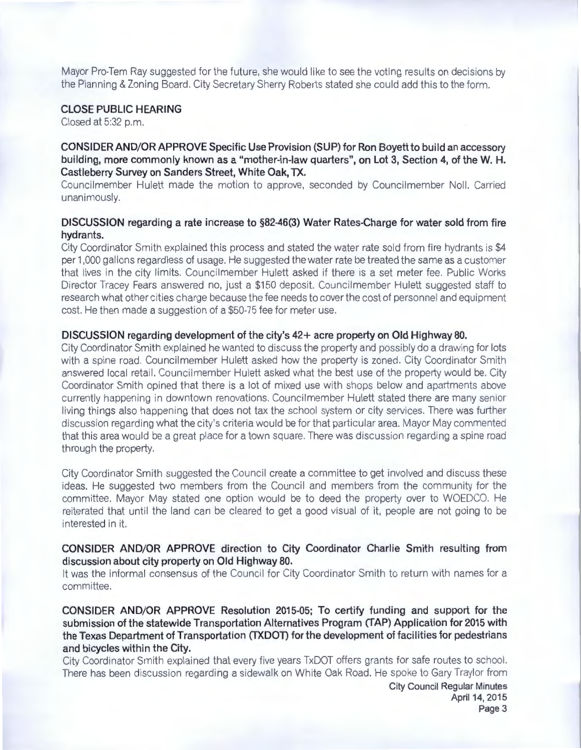Mayor Pro-Tem Ray suggested for the future, she would like to see the voting results on decisions by the Planning & Zoning Board. City Secretary Sherry Roberts stated she could add this to the form.

## **CLOSE PUBLIC HEARING**

Closed at 5:32 p.m.

# **CONSIDER AND/OR APPROVE Specific Use Provision (SUP) for Ron Boyett to build an accessory building, more commonly known as a "mother-in-law quarters", on Lot 3, Section 4, of theW. H. Castleberry Survey on Sanders Street, White Oak, TX.**

Councilmember Hulett made the motion to approve, seconded by Councilmember Noll. Carried unanimously.

## **DISCUSSION regarding a rate increase to §82-46(3) Water Rates-Charge for water sold from fire hydrants.**

City Coordinator Smith explained this process and stated the water rate sold from fire hydrants is \$4 per 1,000 gallons regardless of usage. He suggested the water rate be treated the same as a customer that lives in the city limits. Councilmember Hulett asked if there is a set meter fee. Public Works Director Tracey Fears answered no, just a \$150 deposit. Councilmember Hulett suggested staff to research what other cities charge because the fee needs to cover the cost of personnel and equipment cost. He then made a suggestion of a \$50-75 fee for meter use.

#### **DISCUSSION regarding development of the city's 42+ acre property on Old Highway 80.**

City Coordinator Smith explained he wanted to discuss the property and possibly do a drawing for lots with a spine road. Councilmember Hulett asked how the property is zoned. City Coordinator Smith answered local retail. Councilmember Hulett asked what the best use of the property would be. City Coordinator Smith opined that there is a lot of mixed use with shops below and apartments above currently happening in downtown renovations. Councilmember Hu lett stated there are many senior living things also happening that does not tax the school system or city services. There was further discussion regarding what the city's criteria would be for that particular area. Mayor May commented that this area would be a great place for a town square. There was discussion regarding a spine road through the property.

City Coordinator Smith suggested the Council create a committee to get involved and discuss these ideas. He suggested two members from the Council and members from the community for the committee. Mayor May stated one option would be to deed the property over to WOEDCO. He reiterated that until the land can be cleared to get a good visual of it, people are not going to be interested in it.

## **CONSIDER AND/OR APPROVE direction to City Coordinator Charlie Smith resulting from discussion about city property on Old Highway 80.**

It was the informal consensus of the Council for City Coordinator Smith to return with names for a committee.

**CONSIDER AND/OR APPROVE Resolution 2015-05; To certify funding and support for the submission of the statewide Transportation Alternatives Program (TAP) Application for 2015 with the Texas Department of Transportation (TXDOD for the development of facilities for pedestrians and bicycles within the City.** 

City Coordinator Smith explained that every five years TxDOT offers grants for safe routes to school. There has been discussion regarding a sidewalk on White Oak Road. He spoke to Gary Traylor from